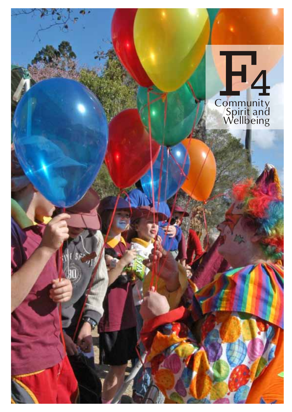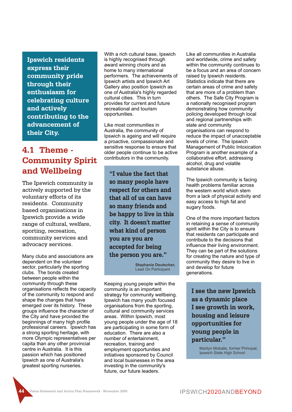**Ipswich residents express their community pride through their enthusiasm for celebrating culture and actively contributing to the advancement of their City.**

# **4.1 Theme - Community Spirit and Wellbeing**

The Ipswich community is actively supported by the voluntary efforts of its residents. Community based organisations in Ipswich provide a wide range of cultural, welfare, sporting, recreation, community services and advocacy services.

Many clubs and associations are dependent on the volunteer sector, particularly the sporting clubs. The bonds created between people within the community through these organisations reflects the capacity of the community to respond and shape the changes that have emerged over its history. These groups influence the character of the City and have provided the beginnings of many high profile professional careers. Ipswich has a strong sporting heritage, with more Olympic representatives per capita than any other provincial centre in Australia. It is this passion which has positioned Ipswich as one of Australia's greatest sporting nurseries.

With a rich cultural base, Ipswich is highly recognised through award winning choirs and as home to many international performers. The achievements of Ipswich artists and Ipswich Art Gallery also position Ipswich as one of Australia's highly regarded cultural cities. This in turn provides for current and future recreational and tourism opportunities.

Like most communities in Australia, the community of Ipswich is ageing and will require a proactive, compassionate and sensitive response to ensure that older people continue to be active contributors in the community.

**"I value the fact that so many people have respect for others and that all of us can have so many friends and be happy to live in this city. It doesn't matter what kind of person you are you are accepted for being the person you are."**

> **Stephanie Deutscher,** Lead On Participant

Keeping young people within the community is an important strategy for community wellbeing. Ipswich has many youth focused organisations from the sporting, cultural and community services areas. Within Ipswich, most young people under the age of 18 are participating in some form of education. There are also a number of entertainment, recreation, training and employment opportunities and initiatives sponsored by Council and local businesses in the area investing in the community's future, our future leaders.

Like all communities in Australia and worldwide, crime and safety within the community continues to be a focus and an area of concern raised by Ipswich residents. Statistics indicate that there are certain areas of crime and safety that are more of a problem than others. The Safe City Program is a nationally recognised program demonstrating how community policing developed through local and regional partnerships with state and community organisations can respond to reduce the impact of unacceptable levels of crime. The Ipswich Management of Public Intoxication Program is another example of a collaborative effort, addressing alcohol, drug and volatile substance abuse.

The Ipswich community is facing health problems familiar across the western world which stem from a lack of physical activity and easy access to high fat and sugary foods.

One of the more important factors in retaining a sense of community spirit within the City is to ensure that residents can participate and contribute to the decisions that influence their living environment. They can be part of the solutions for creating the nature and type of community they desire to live in and develop for future generations.

**I see the new Ipswich as a dynamic place I see growth in work, housing and leisure opportunities for young people in particular."**

> Marilyn Moballe, former Principal, Ipswich State High School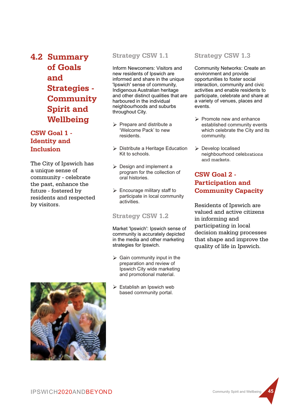**4.2 Summary of Goals and Strategies - Community Spirit and Wellbeing**

# **CSW Goal 1 - Identity and Inclusion**

The City of Ipswich has a unique sense of community - celebrate the past, enhance the future - fostered by residents and respected by visitors.

### **Strategy CSW 1.1**

Inform Newcomers: Visitors and new residents of Ipswich are informed and share in the unique 'Ipswich' sense of community, Indigenous Australian heritage and other distinct qualities that are harboured in the individual neighbourhoods and suburbs throughout City.

- $\triangleright$  Prepare and distribute a 'Welcome Pack' to new residents.
- $\triangleright$  Distribute a Heritage Education Kit to schools.
- $\triangleright$  Design and implement a program for the collection of oral histories.
- $\triangleright$  Encourage military staff to participate in local community activities.

# **Strategy CSW 1.2**

Market 'Ipswich': Ipswich sense of community is accurately depicted in the media and other marketing strategies for Ipswich.

- $\triangleright$  Gain community input in the preparation and review of Ipswich City wide marketing and promotional material.
- $\triangleright$  Establish an Ipswich web based community portal.

# **Strategy CSW 1.3**

Community Networks: Create an environment and provide opportunities to foster social interaction, community and civic activities and enable residents to participate, celebrate and share at a variety of venues, places and events.

- $\triangleright$  Promote new and enhance established community events which celebrate the City and its community.
- $\triangleright$  Develop localised neighbourhood celebrations and markets.

# **CSW Goal 2 - Participation and Community Capacity**

Residents of Ipswich are valued and active citizens in informing and participating in local decision making processes that shape and improve the quality of life in Ipswich.



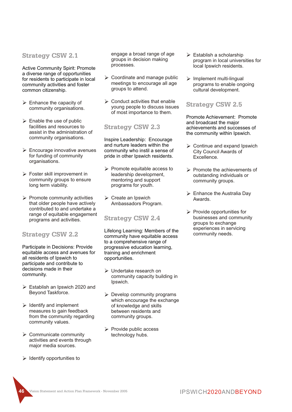#### **Strategy CSW 2.1**

Active Community Spirit: Promote a diverse range of opportunities for residents to participate in local community activities and foster common citizenship.

- $\triangleright$  Enhance the capacity of community organisations.
- $\triangleright$  Enable the use of public facilities and resources to assist in the administration of community organisations.
- $\triangleright$  Encourage innovative avenues for funding of community organisations.
- $\triangleright$  Foster skill improvement in community groups to ensure long term viability.
- $\triangleright$  Promote community activities that older people have actively contributed to and undertake a range of equitable engagement programs and activities.

#### **Strategy CSW 2.2**

Participate in Decisions: Provide equitable access and avenues for all residents of Ipswich to participate and contribute to decisions made in their community.

- $\triangleright$  Establish an Ipswich 2020 and Beyond Taskforce.
- $\triangleright$  Identify and implement measures to gain feedback from the community regarding community values.
- $\triangleright$  Communicate community activities and events through major media sources.
- $\triangleright$  Identify opportunities to

engage a broad range of age groups in decision making processes.

- $\triangleright$  Coordinate and manage public meetings to encourage all age groups to attend.
- $\triangleright$  Conduct activities that enable young people to discuss issues of most importance to them.

#### **Strategy CSW 2.3**

Inspire Leadership: Encourage and nurture leaders within the community who instil a sense of pride in other Ipswich residents.

- $\triangleright$  Promote equitable access to leadership development, mentoring and support programs for youth.
- $\triangleright$  Create an Ipswich Ambassadors Program.

#### **Strategy CSW 2.4**

Lifelong Learning: Members of the community have equitable access to a comprehensive range of progressive education learning, training and enrichment opportunities.

- Ø Undertake research on community capacity building in Ipswich.
- $\triangleright$  Develop community programs which encourage the exchange of knowledge and skills between residents and community groups.
- $\triangleright$  Provide public access technology hubs.
- $\triangleright$  Establish a scholarship program in local universities for local Ipswich residents.
- $\triangleright$  Implement multi-lingual programs to enable ongoing cultural development.

### **Strategy CSW 2.5**

Promote Achievement: Promote and broadcast the major achievements and successes of the community within Ipswich.

- $\triangleright$  Continue and expand Ipswich City Council Awards of Excellence.
- Ø Promote the achievements of outstanding individuals or community groups.
- $\triangleright$  Enhance the Australia Day Awards.
- $\triangleright$  Provide opportunities for businesses and community groups to exchange experiences in servicing community needs.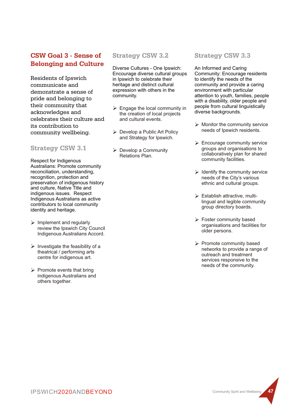# **CSW Goal 3 - Sense of Belonging and Culture**

Residents of Ipswich communicate and demonstrate a sense of pride and belonging to their community that acknowledges and celebrates their culture and its contribution to community wellbeing.

### **Strategy CSW 3.1**

Respect for Indigenous Australians: Promote community reconciliation, understanding, recognition, protection and preservation of indigenous history and culture, Native Title and indigenous issues. Respect Indigenous Australians as active contributors to local community identity and heritage.

- $\triangleright$  Implement and regularly review the Ipswich City Council Indigenous Australians Accord.
- $\triangleright$  Investigate the feasibility of a theatrical / performing arts centre for indigenous art.
- $\triangleright$  Promote events that bring indigenous Australians and others together.

# **Strategy CSW 3.2**

Diverse Cultures - One Ipswich: Encourage diverse cultural groups in Ipswich to celebrate their heritage and distinct cultural expression with others in the community.

- $\triangleright$  Engage the local community in the creation of local projects and cultural events.
- $\triangleright$  Develop a Public Art Policy and Strategy for Ipswich.
- $\triangleright$  Develop a Community Relations Plan.

# **Strategy CSW 3.3**

An Informed and Caring Community: Encourage residents to identify the needs of the community and provide a caring environment with particular attention to youth, families, people with a disability, older people and people from cultural linguistically diverse backgrounds.

- $\triangleright$  Monitor the community service needs of Ipswich residents.
- $\triangleright$  Encourage community service groups and organisations to collaboratively plan for shared community facilities.
- $\triangleright$  Identify the community service needs of the City's various ethnic and cultural groups.
- $\triangleright$  Establish attractive, multilingual and legible community group directory boards.
- $\triangleright$  Foster community based organisations and facilities for older persons.
- Ø Promote community based networks to provide a range of outreach and treatment services responsive to the needs of the community.

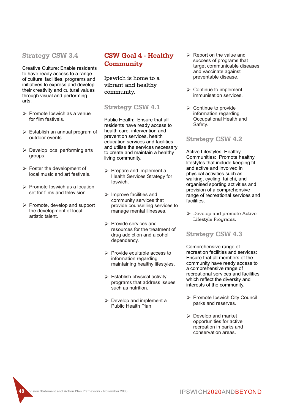#### **Strategy CSW 3.4**

Creative Culture: Enable residents to have ready access to a range of cultural facilities, programs and initiatives to express and develop their creativity and cultural values through visual and performing arts.

- $\triangleright$  Promote Ipswich as a venue for film festivals.
- $\triangleright$  Establish an annual program of outdoor events.
- $\triangleright$  Develop local performing arts groups.
- $\triangleright$  Foster the development of local music and art festivals.
- $\triangleright$  Promote Ipswich as a location set for films and television.
- $\triangleright$  Promote, develop and support the development of local artistic talent.

# **CSW Goal 4 - Healthy Community**

Ipswich is home to a vibrant and healthy community.

#### **Strategy CSW 4.1**

Public Health: Ensure that all residents have ready access to health care, intervention and prevention services, health education services and facilities and utilise the services necessary to create and maintain a healthy living community.

- $\triangleright$  Prepare and implement a Health Services Strategy for Ipswich.
- $\triangleright$  Improve facilities and community services that provide counselling services to manage mental illnesses.
- $\triangleright$  Provide services and resources for the treatment of drug addiction and alcohol dependency.
- $\triangleright$  Provide equitable access to information regarding maintaining healthy lifestyles.
- $\triangleright$  Establish physical activity programs that address issues such as nutrition.
- $\triangleright$  Develop and implement a Public Health Plan.
- $\triangleright$  Report on the value and success of programs that target communicable diseases and vaccinate against preventable disease.
- $\triangleright$  Continue to implement immunisation services.
- $\triangleright$  Continue to provide information regarding Occupational Health and Safety.

### **Strategy CSW 4.2**

Active Lifestyles, Healthy Communities: Promote healthy lifestyles that include keeping fit and active and involved in physical activities such as walking, cycling, tai chi, and organised sporting activities and provision of a comprehensive range of recreational services and facilities.

 $\triangleright$  Develop and promote Active Lifestyle Programs.

#### **Strategy CSW 4.3**

Comprehensive range of recreation facilities and services: Ensure that all members of the community have ready access to a comprehensive range of recreational services and facilities which reflect the diversity and interests of the community.

- Ø Promote Ipswich City Council parks and reserves.
- $\triangleright$  Develop and market opportunities for active recreation in parks and conservation areas.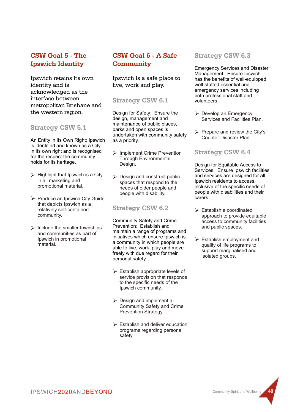# **CSW Goal 5 - The Ipswich Identity**

Ipswich retains its own identity and is acknowledged as the interface between metropolitan Brisbane and the western region.

### **Strategy CSW 5.1**

An Entity in its Own Right: Ipswich is identified and known as a City in its own right and is recognised for the respect the community holds for its heritage.

- $\triangleright$  Highlight that Ipswich is a City in all marketing and promotional material.
- Ø Produce an Ipswich City Guide that depicts Ipswich as a relatively self-contained community.
- $\triangleright$  Include the smaller townships and communities as part of Ipswich in promotional material.

# **CSW Goal 6 - A Safe Community**

Ipswich is a safe place to live, work and play.

### **Strategy CSW 6.1**

Design for Safety: Ensure the design, management and maintenance of public places, parks and open spaces is undertaken with community safety as a priority.

- Ø Implement Crime Prevention Through Environmental Design.
- $\triangleright$  Design and construct public spaces that respond to the needs of older people and people with disability.

### **Strategy CSW 6.2**

Community Safety and Crime Prevention: Establish and maintain a range of programs and initiatives which ensure Ipswich is a community in which people are able to live, work, play and move freely with due regard for their personal safety.

- $\triangleright$  Establish appropriate levels of service provision that responds to the specific needs of the Ipswich community.
- $\triangleright$  Design and implement a Community Safety and Crime Prevention Strategy.
- $\triangleright$  Establish and deliver education programs regarding personal safety.

# **Strategy CSW 6.3**

Emergency Services and Disaster Management: Ensure Ipswich has the benefits of well-equipped, well-staffed essential and emergency services including both professional staff and volunteers.

- $\triangleright$  Develop an Emergency Services and Facilities Plan.
- $\triangleright$  Prepare and review the City's Counter Disaster Plan.

# **Strategy CSW 6.4**

Design for Equitable Access to Services: Ensure Ipswich facilities and services are designed for all Ipswich residents to access, inclusive of the specific needs of people with disabilities and their carers.

- $\triangleright$  Establish a coordinated approach to provide equitable access to community facilities and public spaces.
- $\triangleright$  Establish employment and quality of life programs to support marginalised and isolated groups.